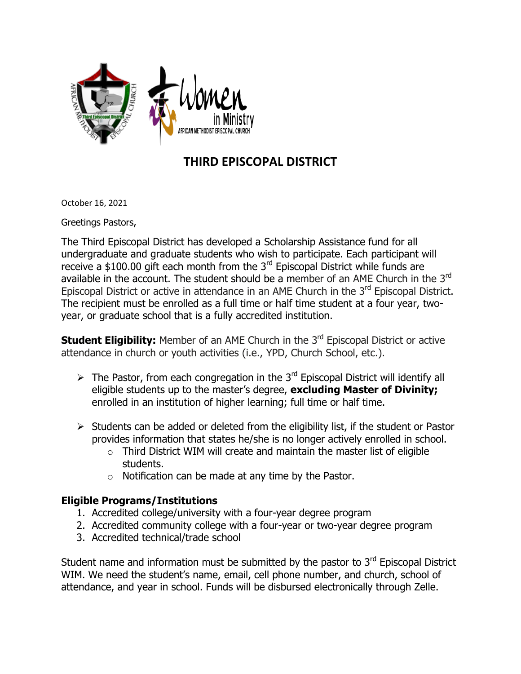

## **THIRD EPISCOPAL DISTRICT**

October 16, 2021

Greetings Pastors,

The Third Episcopal District has developed a Scholarship Assistance fund for all undergraduate and graduate students who wish to participate. Each participant will receive a \$100.00 gift each month from the  $3<sup>rd</sup>$  Episcopal District while funds are available in the account. The student should be a member of an AME Church in the 3<sup>rd</sup> Episcopal District or active in attendance in an AME Church in the 3<sup>rd</sup> Episcopal District. The recipient must be enrolled as a full time or half time student at a four year, twoyear, or graduate school that is a fully accredited institution.

**Student Eligibility:** Member of an AME Church in the 3<sup>rd</sup> Episcopal District or active attendance in church or youth activities (i.e., YPD, Church School, etc.).

- $\triangleright$  The Pastor, from each congregation in the 3<sup>rd</sup> Episcopal District will identify all eligible students up to the master's degree, **excluding Master of Divinity;** enrolled in an institution of higher learning; full time or half time.
- $\triangleright$  Students can be added or deleted from the eligibility list, if the student or Pastor provides information that states he/she is no longer actively enrolled in school.
	- $\circ$  Third District WIM will create and maintain the master list of eligible students.
	- $\circ$  Notification can be made at any time by the Pastor.

## **Eligible Programs/Institutions**

- 1. Accredited college/university with a four-year degree program
- 2. Accredited community college with a four-year or two-year degree program
- 3. Accredited technical/trade school

Student name and information must be submitted by the pastor to 3<sup>rd</sup> Episcopal District WIM. We need the student's name, email, cell phone number, and church, school of attendance, and year in school. Funds will be disbursed electronically through Zelle.